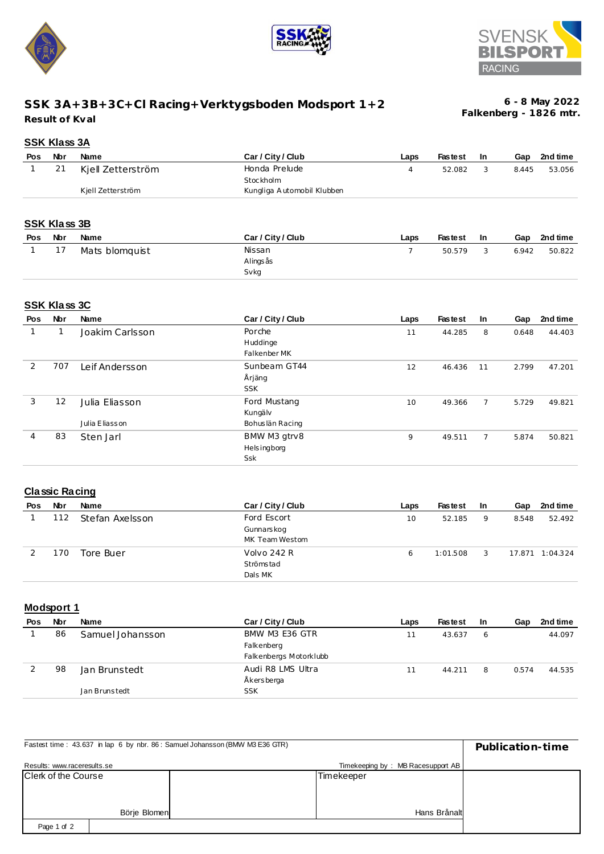





# **Result of Kval SSK 3A+3B+3C+Cl Racing+Verktygsboden Modsport 1+2**

**6 - 8 May 2022 Falkenberg - 1826 mtr.**

#### **SSK Klass 3A**

| <b>Pos</b> | Nbr | Name              | Car / City / Club          | Laps | <b>Fastest</b> | -In | Gap   | 2nd time |
|------------|-----|-------------------|----------------------------|------|----------------|-----|-------|----------|
|            | 21  | Kiell Zetterström | Honda Prelude              | Δ    | 52.082         |     | 8.445 | 53.056   |
|            |     |                   | Stoc kholm                 |      |                |     |       |          |
|            |     | Kjell Zetterström | Kungliga Automobil Klubben |      |                |     |       |          |

### **SSK Klass 3B**

| Pos | Nbr | Name           | Car / City / Club | Laps | <b>Fastest</b> | -In | Gap   | 2nd time |
|-----|-----|----------------|-------------------|------|----------------|-----|-------|----------|
|     | 17  | Mats blomquist | Nissan            |      | 50.579         |     | 6.942 | 50.822   |
|     |     |                | Alings ås         |      |                |     |       |          |
|     |     |                | Svkg              |      |                |     |       |          |

#### **SSK Klass 3C**

| <b>Pos</b> | <b>Nbr</b> | Name            | Car / City / Club | Laps | <b>Fastest</b> | <b>In</b> | Gap   | 2nd time |
|------------|------------|-----------------|-------------------|------|----------------|-----------|-------|----------|
|            |            | Joakim Carlsson | Porche            | 11   | 44.285         | 8         | 0.648 | 44.403   |
|            |            |                 | Huddinge          |      |                |           |       |          |
|            |            |                 | Falkenber MK      |      |                |           |       |          |
| 2          | 707        | Leif Andersson  | Sunbeam GT44      | 12   | 46.436         | 11        | 2.799 | 47.201   |
|            |            |                 | Årjäng            |      |                |           |       |          |
|            |            |                 | <b>SSK</b>        |      |                |           |       |          |
| 3          | 12         | Julia Eliasson  | Ford Mustang      | 10   | 49.366         | 7         | 5.729 | 49.821   |
|            |            |                 | Kungälv           |      |                |           |       |          |
|            |            | Julia Eliasson  | Bohuslän Racing   |      |                |           |       |          |
| 4          | 83         | Sten Jarl       | BMW M3 gtrv8      | 9    | 49.511         | 7         | 5.874 | 50.821   |
|            |            |                 | Helsingborg       |      |                |           |       |          |
|            |            |                 | Ssk               |      |                |           |       |          |

#### **Classic Racing**

| Pos | Nbr  | Name            | Car / City / Club | Laps | <b>Fastest</b> | -In | Gap   | 2nd time        |
|-----|------|-----------------|-------------------|------|----------------|-----|-------|-----------------|
|     | 112  | Stefan Axelsson | Ford Escort       | 10   | 52.185         | 9   | 8.548 | 52.492          |
|     |      |                 | Gunnars kog       |      |                |     |       |                 |
|     |      |                 | MK Team Westom    |      |                |     |       |                 |
|     | 170. | Tore Buer       | Volvo 242 R       | 6    | 1:01.508       | 3   |       | 17.871 1:04.324 |
|     |      |                 | Strömstad         |      |                |     |       |                 |
|     |      |                 | Dals MK           |      |                |     |       |                 |

# **Modsport 1**

| Pos | Nbr | Name             | Car / City / Club      | Laps | <b>Fastest</b> | -In | Gap   | 2nd time |
|-----|-----|------------------|------------------------|------|----------------|-----|-------|----------|
|     | 86  | Samuel Johansson | BMW M3 E36 GTR         | 11   | 43.637         | 6   |       | 44.097   |
|     |     |                  | Falkenberg             |      |                |     |       |          |
|     |     |                  | Falkenbergs Motorklubb |      |                |     |       |          |
|     | 98  | Jan Brunstedt    | Audi R8 LMS Ultra      | 11   | 44.211         | 8   | 0.574 | 44.535   |
|     |     |                  | Åkersberga             |      |                |     |       |          |
|     |     | Jan Brunstedt    | <b>SSK</b>             |      |                |     |       |          |

| Fastest time: 43.637 in lap 6 by nbr. 86: Samuel Johansson (BMW M3 E36 GTR) | Publication-time                  |  |
|-----------------------------------------------------------------------------|-----------------------------------|--|
| Results: www.raceresults.se                                                 | Timekeeping by: MB Racesupport AB |  |
| Clerk of the Course                                                         | Timekeeper                        |  |
|                                                                             |                                   |  |
|                                                                             |                                   |  |
| Börje Blomen                                                                | Hans Brånalt                      |  |
| Page 1 of 2                                                                 |                                   |  |